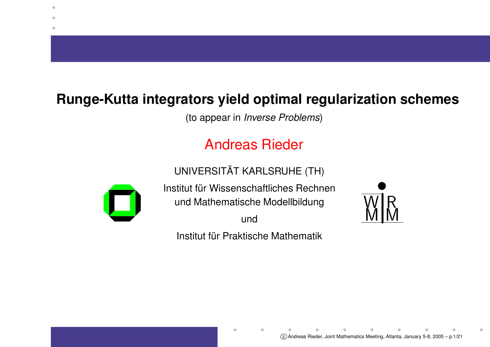## **Runge-Kutta integrators yield optimal regularization schemes**

(to appear in Inverse Problems)

## Andreas Rieder

UNIVERSITAT ¨AT KARLSRUHE (TH)



۰

Institut für Wissenschaftliches Rechnen und Mathematische Modellbildung

und

Institut für Praktische Mathematik

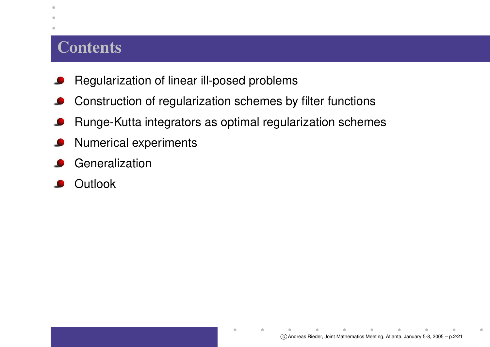#### **Contents**

 $\bullet$  $\blacksquare$ ۰

- Regularization of linear ill-posed problems
- Construction of regularization schemes by filter functions  $\bullet$
- Runge-Kutta integrators as optimal regularization schemes L
- Numerical experiments
- Generalization
- Outlook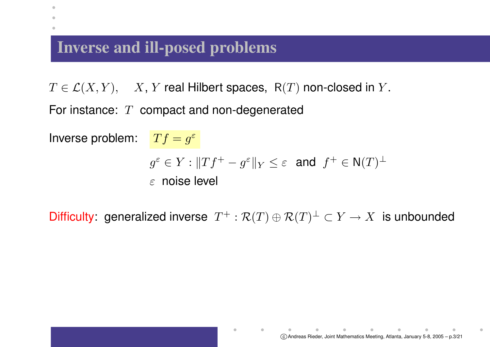## **Inverse and ill-posed problems**

 $\bullet$ 

 $T\in \mathcal{L}(X,Y),\quad X,\,Y$  real Hilbert spaces,  $\,$  R( $T)$  non-closed in  $Y.$ 

For instance:  $\ T\,$  compact and non-degenerated

Inverse problem:  $\quad \, Tf=g^{\varepsilon}$  $g^{\varepsilon} \in Y : ||Tf^{+} - g^{\varepsilon}||_{Y} \leq \varepsilon$  and  $f^{+} \in N(T)^{\perp}$  $\varepsilon$  noise level

Difficulty: generalized inverse  $T^+ : \mathcal{R}(T) \oplus \mathcal{R}(T)^{\perp} \subset Y \to X$  is unbounded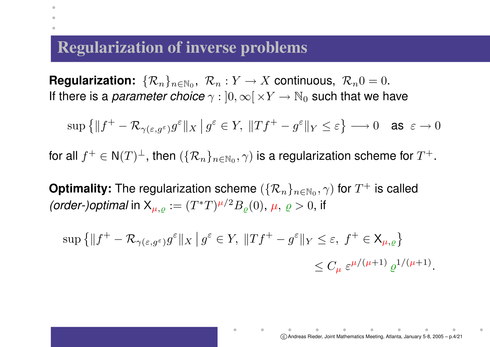#### **Regularization of inverse problems**

 $\bullet$ 

 $\textbf{Regularization:}~~\{\mathcal{R}_n\}_{n\in\mathbb{N}_0},~~\mathcal{R}_n:Y\rightarrow X$  continuous,  $\mathcal{R}_n0=0.$ If there is a *parameter choice*  $\gamma: \ ]0,\infty[\, \times Y \to \mathbb{N}_0$  such that we have

 $\sup\left\{\|f^+ - \mathcal{R}_{\gamma(\varepsilon,g^\varepsilon)}g^\varepsilon\|_X \,|\, g^\varepsilon \in Y, \, \|Tf^+ - g^\varepsilon\|_Y \leq \varepsilon\right\} \longrightarrow 0 \quad \text{as } \varepsilon \to 0$ 

for all  $f^+ \in {\sf N}(T)^\perp$ , then  $(\{{\cal R}_n\}_{n\in\mathbb N_0},\gamma)$  is a regularization scheme for  $T^+.$ 

**Optimality:** The regularization scheme  $(\{\mathcal{R}_n\}_{n\in\mathbb{N}_0},\gamma)$  for  $T^+$  is called (order-)optimal in  $X_{\mu,\rho} := (T^*T)^{\mu/2} B_{\rho}(0), \mu, \rho > 0$ , if

$$
\sup\left\{\|f^+ - \mathcal{R}_{\gamma(\varepsilon,g^\varepsilon)}g^\varepsilon\|_X \, \big|\, g^\varepsilon \in Y, \, \|Tf^+ - g^\varepsilon\|_Y \le \varepsilon, \, f^+ \in \mathsf{X}_{\mu,\varrho}\right\}
$$
  

$$
\le C_\mu \, \varepsilon^{\mu/(\mu+1)} \, \varrho^{1/(\mu+1)}.
$$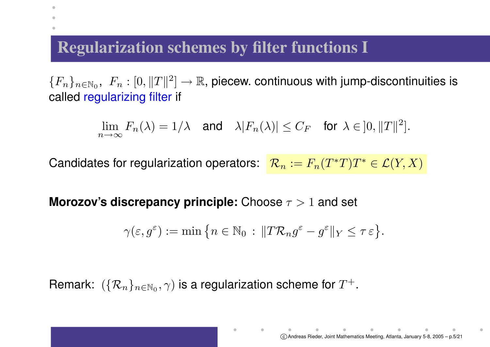## **Regularization schemes by filter functions I**

 $\bullet$ 

 $\{F_n\}_{n\in\mathbb{N}_0},\,\,F_n:[0,\|T\|^2]\to\mathbb{R},$  piecew. continuous with jump-discontinuities is called regularizing filter if

$$
\lim_{n \to \infty} F_n(\lambda) = 1/\lambda \quad \text{and} \quad \lambda |F_n(\lambda)| \le C_F \quad \text{for } \lambda \in ]0, \|T\|^2].
$$

Candidates for regularization operators:  $\ \mathcal{R}_{n} := F_{n}(T^{*}T)T^{*} \in \mathcal{L}(Y,X)$ 

**Morozov's discrepancy principle:** Choose <sup>τ</sup> <sup>&</sup>gt; <sup>1</sup> and set

$$
\gamma(\varepsilon,g^{\varepsilon}) := \min \left\{ n \in \mathbb{N}_0 \, : \, \|T\mathcal{R}_n g^{\varepsilon} - g^{\varepsilon}\|_Y \leq \tau \varepsilon \right\}.
$$

Remark:  $\ (\{\mathcal{R}_n\}_{n\in \mathbb{N}_0},\gamma)$  is a regularization scheme for  $T^+.$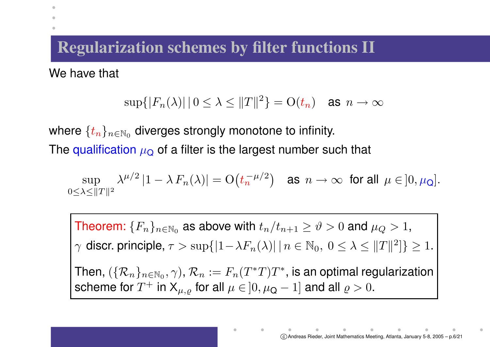## **Regularization schemes by filter functions II**

We have that

 $\bullet$ 

$$
\sup\{|F_n(\lambda)| \, | \, 0 \le \lambda \le \|T\|^2\} = \mathcal{O}(t_n) \quad \text{as } n \to \infty
$$

where  $\{t_n\}_{n\in\mathbb{N}_0}$  diverges strongly monotone to infinity. The qualification  $\mu_\mathbf{Q}$  of a filter is the largest number such that

 $\sup \quad \lambda^{\mu/2}\left|1-\lambda\, F_n(\lambda)\right| = {\rm O}\big(t_n^{-\mu/2}\big) \quad \text{as} \ \ n\to\infty \ \ \text{for all} \ \ \mu\in]0,\mu_{\mathsf{Q}}].$  $0<\lambda<||T||^2$ 

Theorem:  $\{F_n\}_{n\in\mathbb{N}_0}$  as above with  $t_n/t_{n+1}\geq\vartheta>0$  and  $\mu_Q>1,$  $\gamma$  discr. principle,  $\tau > \sup\{|1-\lambda F_n(\lambda)| \mid n \in \mathbb{N}_0, 0 \le \lambda \le ||T||^2\} \ge 1$ . Then,  $(\{\mathcal{R}_n\}_{n\in\mathbb{N}_0},\gamma)$ ,  $\mathcal{R}_n:=F_n(T^*T)T^*$ , is an optimal regularization scheme for  $T^+$  in  $\mathsf{X}_{\mu,\varrho}$  for all  $\mu\in\,]0,\mu_{\mathsf{Q}}-1]$  and all  $\varrho>0.$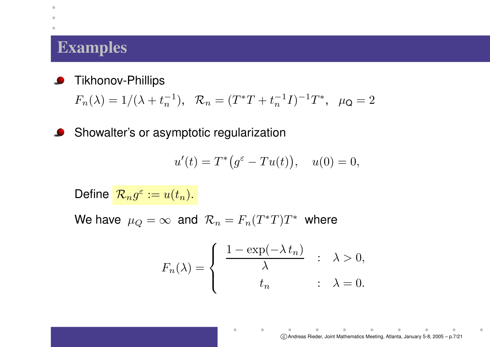#### **Examples**

 $\bullet$  $\triangle$ 

> Tikhonov-Phillips  $\bullet$

> > $F_n(\lambda) = 1/(\lambda + t_n^{-1}), ~~~ \mathcal{R}_n = (T^*T + t_n^{-1}I)^{-1}T^*, ~~~ \mu_\mathsf{Q} = 2$

Showalter's or asymptotic regularization  $\bullet$ 

$$
u'(t) = T^*\big(g^{\varepsilon} - Tu(t)\big), \quad u(0) = 0,
$$

Define  $\mathcal{R}_n g^\varepsilon := u(t_n).$ 

We have  $\mu_Q=\infty$  and  $\mathcal{R}_n=F_n(T^*T)T^*$  where

$$
F_n(\lambda) = \begin{cases} \frac{1 - \exp(-\lambda t_n)}{\lambda} & \colon \lambda > 0, \\ t_n & \colon \lambda = 0. \end{cases}
$$

 $\blacksquare$ 

 $\bullet$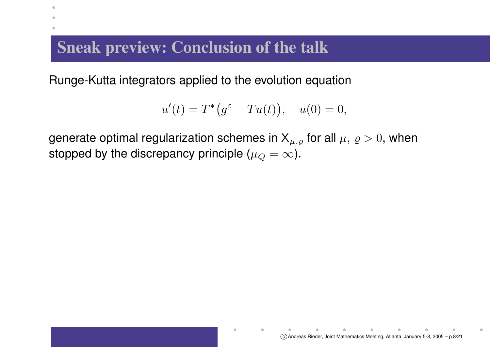## **Sneak preview: Conclusion of the talk**

 $\bullet$ 

Runge-Kutta integrators applied to the evolution equation

$$
u'(t) = T^*\big(g^{\varepsilon} - Tu(t)\big), \quad u(0) = 0,
$$

generate optimal regularization schemes in  $X_{\mu,\varrho}$  for all  $\mu, \varrho > 0$ , when stopped by the discrepancy principle ( $\mu_Q = \infty$ ).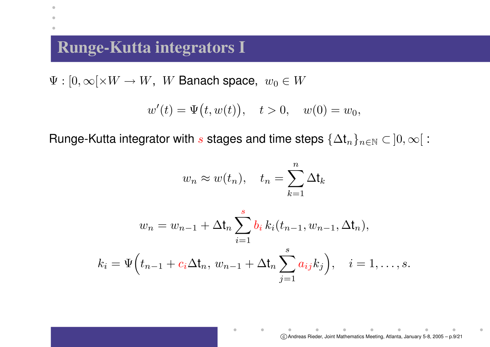## **Runge-Kutta integrators I**

 $\bullet$  $\blacksquare$ ۰

 $\Psi: [0,\infty[\times W \to W, \,\, W$  Banach space,  $\,w_0 \in W$ 

$$
w'(t) = \Psi(t, w(t)), \quad t > 0, \quad w(0) = w_0,
$$

Runge-Kutta integrator with s stages and time steps  $\{\Delta t_n\}_{n\in\mathbb{N}}\subset]0,\infty[$ :

$$
w_n \approx w(t_n), \quad t_n = \sum_{k=1}^n \Delta t_k
$$

$$
w_n = w_{n-1} + \Delta t_n \sum_{i=1}^s b_i k_i(t_{n-1}, w_{n-1}, \Delta t_n),
$$
  

$$
k_i = \Psi(t_{n-1} + c_i \Delta t_n, w_{n-1} + \Delta t_n \sum_{j=1}^s a_{ij} k_j), \quad i = 1, ..., s.
$$

 $\blacksquare$ 

 $\bullet$ 

 $\alpha$  .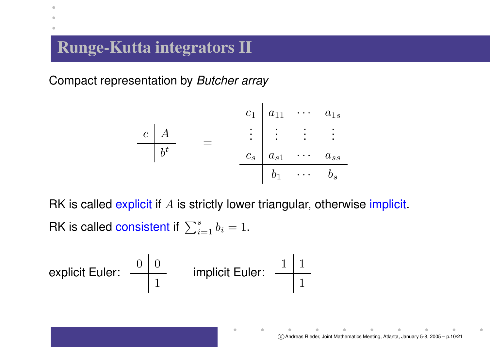## **Runge-Kutta integrators II**

 $\bullet$ 

Compact representation by Butcher array

$$
\begin{array}{c|ccccc}\n c & A & & c_1 & a_{11} & \cdots & a_{1s} \\
\hline\n b^t & = & & c_s & a_{s1} & \cdots & a_{ss} \\
 & & & b_1 & \cdots & b_s\n\end{array}
$$

RK is called explicit if  $A$  is strictly lower triangular, otherwise implicit. RK is called consistent if  $\,\sum_{i=1}^s b_i = 1.$ 

 $\blacksquare$ 

explicit Euler: 
$$
\begin{array}{c|c|c|c|c} 0 & 0 & 0 \\ \hline & 1 & 0 \\ \hline & 1 & 0 \\ \hline \end{array}
$$

\nimplicit Euler:  $\begin{array}{c|c|c} 1 & 1 & 1 \\ \hline & 1 & 1 \\ \hline \end{array}$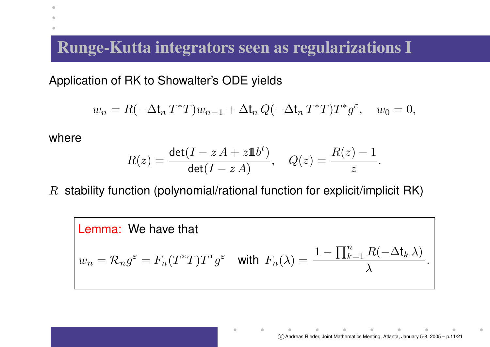#### **Runge-Kutta integrators seen as regularizations I**

Application of RK to Showalter's ODE yields

$$
w_n = R(-\Delta t_n T^*T)w_{n-1} + \Delta t_n Q(-\Delta t_n T^*T)T^*g^{\varepsilon}, \quad w_0 = 0,
$$

where

 $\bullet$ 

$$
R(z) = \frac{\det(I - zA + z\mathbf{1}b^t)}{\det(I - zA)}, \quad Q(z) = \frac{R(z) - 1}{z}.
$$

 $R$  stability function (polynomial/rational function for explicit/implicit RK)

**Lemma:** We have that  
\n
$$
w_n = \mathcal{R}_n g^{\varepsilon} = F_n (T^*T) T^* g^{\varepsilon} \quad \text{with} \ \ F_n(\lambda) = \frac{1 - \prod_{k=1}^n R(-\Delta t_k \lambda)}{\lambda}.
$$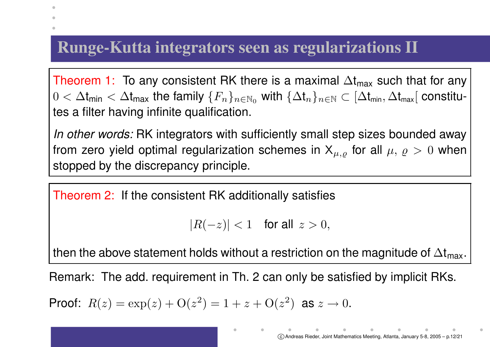## **Runge-Kutta integrators seen as regularizations II**

Theorem 1: To any consistent RK there is a maximal  $\Delta t_{\sf max}$  such that for any  $0<\Delta t_{\sf min}<\Delta t_{\sf max}$  the family  $\{F_n\}_{n\in\mathbb{N}_0}$  with  $\{\Delta t_n\}_{n\in\mathbb{N}}\subset[\Delta t_{\sf min},\Delta t_{\sf max}[$  constitutes a filter having infinite qualification.

*In other words:* RK integrators with sufficiently small step sizes bounded away from zero yield optimal regularization schemes in  $\mathsf{X}_{\mu,\varrho}$  for all  $\mu,\,\varrho\,>\,0$  when stopped by the discrepancy principle.

Theorem 2: If the consistent RK additionally satisfies

```
|R(-z)| < 1 for all z > 0,
```
then the above statement holds without a restriction on the magnitude of  $\Delta t_{\sf max}.$ 

Remark: The add. requirement in Th. 2 can only be satisfied by implicit RKs.

Proof:  $R(z) = \exp(z) + O(z^2) = 1 + z + O(z^2)$  as  $z \to 0$ .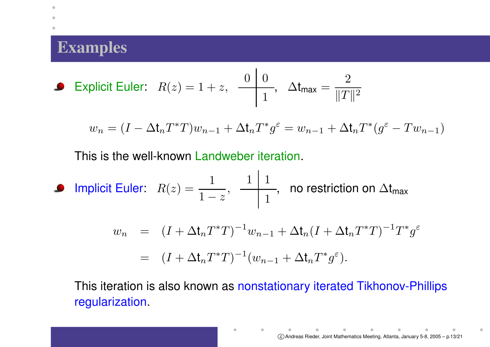## **Examples**

 $\bullet$  $\blacksquare$ ۰

• Explicit Euler: 
$$
R(z) = 1 + z
$$
,  $\frac{0}{\square 0}$ ,  $\Delta t_{\text{max}} = \frac{2}{\square T \square^2}$ 

$$
w_n = (I - \Delta t_n T^* T) w_{n-1} + \Delta t_n T^* g^{\varepsilon} = w_{n-1} + \Delta t_n T^* (g^{\varepsilon} - T w_{n-1})
$$

 $\mathbf{I}$ 

This is the well-known Landweber iteration.

$$
\begin{array}{ll}\n\text{ \n \textbf{I} & \text{subject Euler:} \quad R(z) = \frac{1}{1-z}, \quad \frac{1}{1-z}, \quad \text{no restriction on } \Delta t_{\text{max}} \\
& w_n & = (I + \Delta t_n T^* T)^{-1} w_{n-1} + \Delta t_n (I + \Delta t_n T^* T)^{-1} T^* g^\varepsilon \\
& = (I + \Delta t_n T^* T)^{-1} (w_{n-1} + \Delta t_n T^* g^\varepsilon).\n\end{array}
$$

 $\bullet$ 

This iteration is also known as nonstationary iterated Tikhonov-Phillips regularization.

 $\bullet$ 

 $\alpha$ 

 $\bullet$  . The set of  $\bullet$ 

 $\alpha$ 

 $\blacksquare$ 

 $\bullet$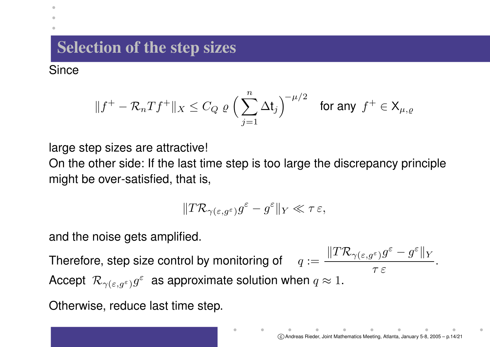# **Selection of the step sizes**

**Since** 

۰

$$
\|f^+ - \mathcal{R}_n Tf^+\|_X \leq C_Q \varrho \left(\sum_{j=1}^n \Delta t_j\right)^{-\mu/2} \quad \text{for any } f^+ \in \mathsf{X}_{\mu,\varrho}
$$

large step sizes are attractive!

On the other side: If the last time step is too large the discrepancy principle might be over-satisfied, that is,

$$
\|T\mathcal{R}_{\gamma(\varepsilon,g^\varepsilon)}g^\varepsilon-g^\varepsilon\|_Y\ll\tau\varepsilon,
$$

and the noise gets amplified.

Therefore, step size control by monitoring of  $q := \frac{\|T\mathcal{R}_{\gamma(\varepsilon,g^\varepsilon)}g^\varepsilon - g^\varepsilon\|_Y}{\|T\mathcal{R}_{\gamma(\varepsilon,g^\varepsilon)}g^\varepsilon\|_Y}$  $\tau \, \varepsilon$  . Accept  $\mathcal{R}_{\gamma(\varepsilon,g^{\varepsilon})}g^{\varepsilon}$  as approximate solution when  $q \approx 1$ .

Otherwise, reduce last time step.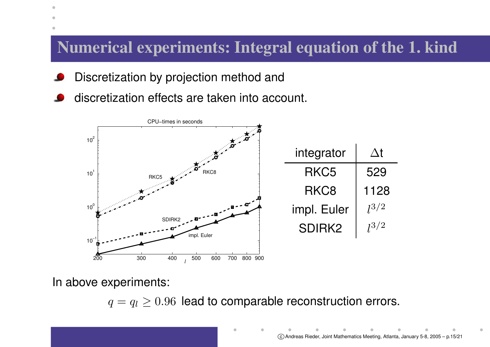## **Numerical experiments: Integral equation of the 1. kind**

- Discretization by projection method and
- discretization effects are taken into account.



In above experiments:

۰

 $q = q_l \geq 0.96$  lead to comparable reconstruction errors.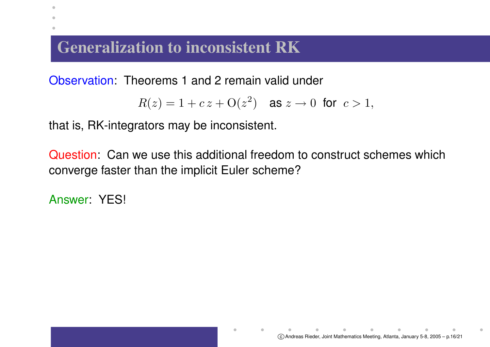## **Generalization to inconsistent RK**

Observation: Theorems 1 and 2 remain valid under

$$
R(z) = 1 + c z + O(z^2) \quad \text{as } z \to 0 \text{ for } c > 1,
$$

that is, RK-integrators may be inconsistent.

Question: Can we use this additional freedom to construct schemes which converge faster than the implicit Euler scheme?

Answer: YES!

 $\bullet$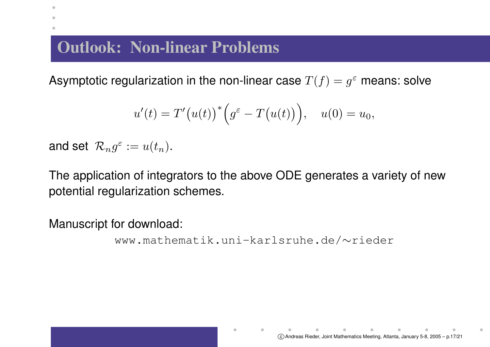# **Outlook: Non-linear Problems**

Asymptotic regularization in the non-linear case  $T(f) = g^{\varepsilon}$  means: solve

$$
u'(t) = T'(u(t))^{*} \Big(g^{\varepsilon} - T(u(t))\Big), \quad u(0) = u_0,
$$

and set  $\mathcal{R}_n g^\varepsilon := u(t_n).$ 

 $\bullet$ 

The application of integrators to the above ODE generates <sup>a</sup> variety of new potential regularization schemes.

Manuscript for download:

```
www.mathematik.uni-karlsruhe.de/∼rieder
```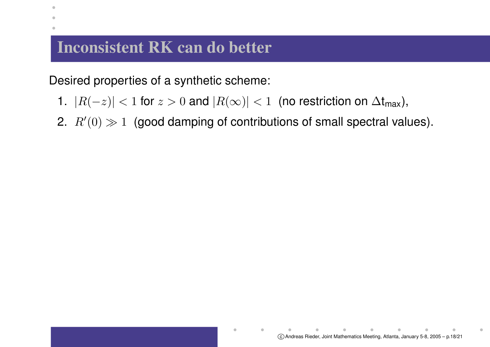#### **Inconsistent RK can do better**

 $\bullet$  $\blacksquare$ 

Desired properties of <sup>a</sup> synthetic scheme:

- 1.  $|R(-z)| < 1$  for  $z > 0$  and  $|R(\infty)| < 1\,$  (no restriction on  $\Delta t_{\sf max}$ ),
- 2.  $\, R'(0) \gg 1 \,$  (good damping of contributions of small spectral values).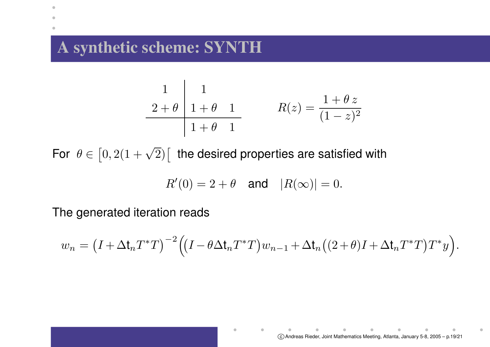## **A synthetic scheme: SYNTH**

 $\bullet$  $\blacksquare$ 

$$
\begin{array}{c|cc}\n1 & 1 & \\
2+\theta & 1+\theta & 1 \\
\hline\n1+\theta & 1 & R(z) = \frac{1+\theta z}{(1-z)^2}\n\end{array}
$$

For  $\,\theta \in \left[0,2(1+\sqrt{2})\right[ \,$  the desired properties are satisfied with

$$
R'(0) = 2 + \theta \quad \text{and} \quad |R(\infty)| = 0.
$$

The generated iteration reads

$$
w_n = (I + \Delta \mathbf{t}_n T^* T)^{-2} ((I - \theta \Delta \mathbf{t}_n T^* T) w_{n-1} + \Delta \mathbf{t}_n ((2 + \theta)I + \Delta \mathbf{t}_n T^* T) T^* y).
$$

 $\blacksquare$ 

 $\bullet$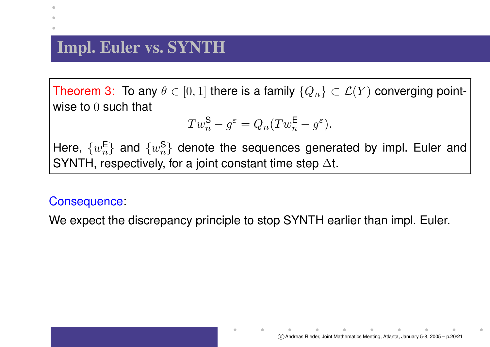## **Impl. Euler vs. SYNTH**

Theorem 3: To any  $\theta \in [0,1]$  there is a family  $\{Q_n\} \subset \mathcal{L}(Y)$  converging pointwise to  $0$  such that

$$
Tw_n^{\mathsf{S}} - g^{\varepsilon} = Q_n(Tw_n^{\mathsf{E}} - g^{\varepsilon}).
$$

Here,  $\{w_n^{\mathsf{E}}\}$  and  $\{w_n^{\mathsf{S}}\}$  denote the sequences generated by impl. Euler and SYNTH, respectively, for a joint constant time step  $\Delta t$ .

#### Consequence:

We expect the discrepancy principle to stop SYNTH earlier than impl. Euler.